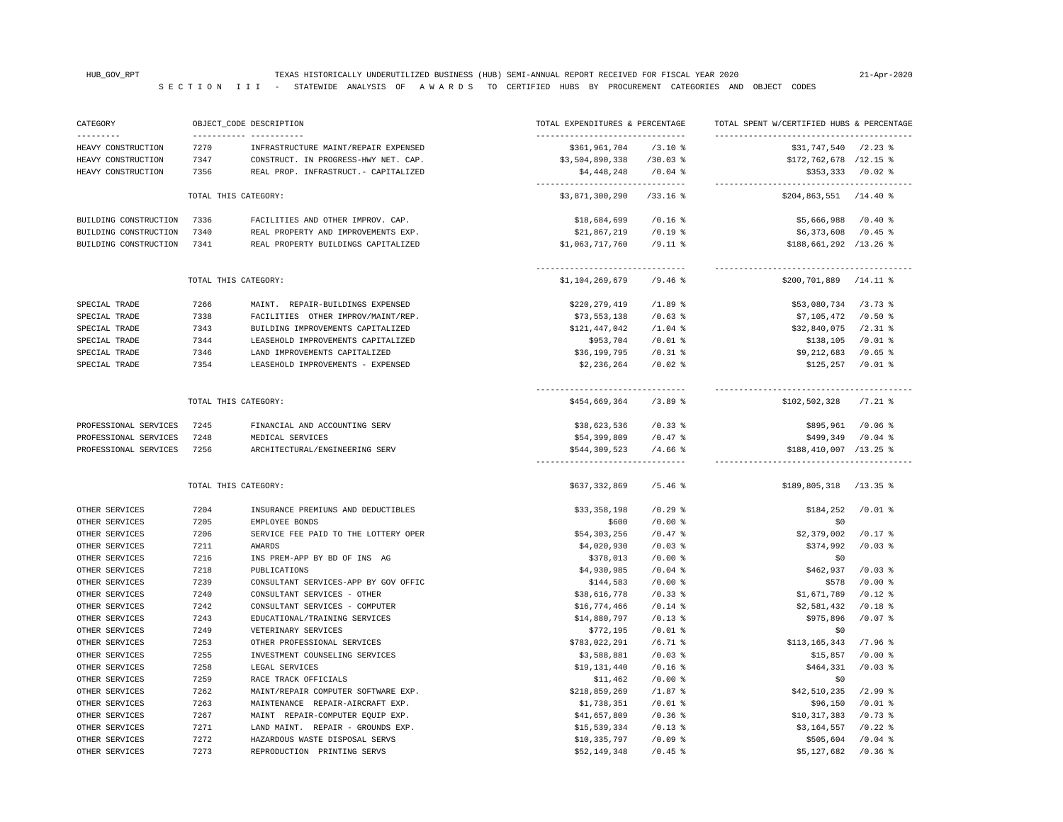| HEAVY CONSTRUCTION<br>7270<br>INFRASTRUCTURE MAINT/REPAIR EXPENSED<br>\$361,961,704<br>$/3.10*$<br>$$31,747,540$ /2.23 %<br>HEAVY CONSTRUCTION<br>7347<br>CONSTRUCT. IN PROGRESS-HWY NET. CAP.<br>\$3,504,890,338<br>$/30.03$ %<br>$$172,762,678$ /12.15 %<br>HEAVY CONSTRUCTION<br>7356<br>REAL PROP. INFRASTRUCT. - CAPITALIZED<br>\$4,448,248<br>$/0.04$ %<br>$$353,333$ /0.02 %<br>---------------------------------<br>TOTAL THIS CATEGORY:<br>\$3,871,300,290<br>$/33.16$ %<br>$$204, 863, 551$ /14.40 %<br>BUILDING CONSTRUCTION<br>7336<br>FACILITIES AND OTHER IMPROV. CAP.<br>\$18,684,699<br>$/0.16$ %<br>\$5,666,988<br>/0.40%<br>BUILDING CONSTRUCTION<br>7340<br>REAL PROPERTY AND IMPROVEMENTS EXP.<br>\$21,867,219<br>$/0.19$ %<br>\$6,373,608<br>$/0.45$ %<br>BUILDING CONSTRUCTION<br>7341<br>REAL PROPERTY BUILDINGS CAPITALIZED<br>\$1,063,717,760<br>$/9.11$ %<br>$$188,661,292$ /13.26 %<br>--------------------------------<br>TOTAL THIS CATEGORY:<br>$/9.46$ %<br>$$200, 701, 889$ /14.11 %<br>\$1,104,269,679<br>7266<br>\$220,279,419<br>$/1.89$ %<br>\$53,080,734<br>$/3.73$ $%$<br>SPECIAL TRADE<br>MAINT. REPAIR-BUILDINGS EXPENSED<br>7338<br>$/0.63$ %<br>\$7,105,472<br>/0.50%<br>SPECIAL TRADE<br>FACILITIES OTHER IMPROV/MAINT/REP.<br>\$73,553,138<br>SPECIAL TRADE<br>7343<br>BUILDING IMPROVEMENTS CAPITALIZED<br>\$121,447,042<br>$/1.04$ %<br>\$32,840,075<br>$/2.31$ %<br>$/0.01$ %<br>7344<br>LEASEHOLD IMPROVEMENTS CAPITALIZED<br>\$953,704<br>$/0.01$ %<br>\$138,105<br>SPECIAL TRADE<br>SPECIAL TRADE<br>7346<br>LAND IMPROVEMENTS CAPITALIZED<br>\$36,199,795<br>$/0.31$ %<br>\$9,212,683<br>$/0.65$ %<br>SPECIAL TRADE<br>7354<br>LEASEHOLD IMPROVEMENTS - EXPENSED<br>\$2,236,264<br>$/0.02$ %<br>\$125,257<br>$/0.01$ %<br>TOTAL THIS CATEGORY:<br>\$454,669,364<br>$/3.89$ $%$<br>\$102,502,328<br>$/7.21$ %<br>PROFESSIONAL SERVICES<br>7245<br>FINANCIAL AND ACCOUNTING SERV<br>\$38,623,536<br>$/0.33$ %<br>\$895,961<br>$/0.06$ %<br>PROFESSIONAL SERVICES<br>7248<br>\$54,399,809<br>$/0.47$ %<br>$/0.04$ %<br>MEDICAL SERVICES<br>\$499,349<br>PROFESSIONAL SERVICES<br>7256<br>ARCHITECTURAL/ENGINEERING SERV<br>\$544,309,523<br>$/4.66$ %<br>$$188,410,007$ /13.25 %<br>TOTAL THIS CATEGORY:<br>\$637,332,869<br>/5.46%<br>$$189,805,318$ /13.35 %<br>OTHER SERVICES<br>7204<br>INSURANCE PREMIUNS AND DEDUCTIBLES<br>$/0.29$ %<br>$/0.01$ %<br>\$33,358,198<br>\$184,252<br>OTHER SERVICES<br>7205<br>EMPLOYEE BONDS<br>\$600<br>$/0.00$ %<br>\$0<br>OTHER SERVICES<br>7206<br>SERVICE FEE PAID TO THE LOTTERY OPER<br>\$54,303,256<br>$/0.47$ %<br>\$2,379,002<br>$/0.17$ %<br>OTHER SERVICES<br>7211<br>AWARDS<br>\$4,020,930<br>$/0.03$ %<br>\$374,992<br>$/0.03$ %<br>7216<br>\$378,013<br>$/0.00$ %<br>OTHER SERVICES<br>INS PREM-APP BY BD OF INS AG<br>\$0<br>7218<br>\$4,930,985<br>$/0.04$ %<br>\$462,937<br>$/0.03$ %<br>OTHER SERVICES<br>PUBLICATIONS<br>7239<br>$/0.00$ %<br>\$578<br>$/0.00$ %<br>OTHER SERVICES<br>CONSULTANT SERVICES-APP BY GOV OFFIC<br>\$144,583<br>OTHER SERVICES<br>7240<br>CONSULTANT SERVICES - OTHER<br>\$38,616,778<br>$/0.33$ %<br>\$1,671,789<br>$/0.12$ %<br>7242<br>CONSULTANT SERVICES - COMPUTER<br>\$16,774,466<br>$/0.14$ %<br>\$2,581,432<br>$/0.18$ %<br>OTHER SERVICES<br>OTHER SERVICES<br>7243<br>EDUCATIONAL/TRAINING SERVICES<br>\$14,880,797<br>$/0.13$ %<br>\$975,896<br>$/0.07$ %<br>OTHER SERVICES<br>7249<br>VETERINARY SERVICES<br>\$772,195<br>$/0.01$ %<br>\$0<br>7253<br>\$783,022,291<br>$/6.71$ %<br>\$113,165,343<br>$/7.96$ %<br>OTHER SERVICES<br>OTHER PROFESSIONAL SERVICES<br>OTHER SERVICES<br>7255<br>INVESTMENT COUNSELING SERVICES<br>\$3,588,881<br>$/0.03$ %<br>\$15,857<br>$/0.00$ %<br>$/0.03$ %<br>OTHER SERVICES<br>7258<br>LEGAL SERVICES<br>\$19,131,440<br>$/0.16$ %<br>\$464,331<br>OTHER SERVICES<br>7259<br>RACE TRACK OFFICIALS<br>\$11,462<br>$/0.00$ %<br>\$0<br>OTHER SERVICES<br>MAINT/REPAIR COMPUTER SOFTWARE EXP.<br>\$218,859,269<br>$/1.87$ %<br>$/2.99$ %<br>7262<br>\$42,510,235<br>$/0.01$ %<br>$/0.01$ %<br>OTHER SERVICES<br>7263<br>MAINTENANCE REPAIR-AIRCRAFT EXP.<br>\$1,738,351<br>\$96,150<br>OTHER SERVICES<br>MAINT REPAIR-COMPUTER EQUIP EXP.<br>$/0.36$ %<br>\$10,317,383<br>$/0.73$ %<br>7267<br>\$41,657,809<br>OTHER SERVICES<br>7271<br>LAND MAINT. REPAIR - GROUNDS EXP.<br>\$15,539,334<br>$/0.13$ %<br>\$3,164,557<br>$/0.22$ %<br>7272<br>HAZARDOUS WASTE DISPOSAL SERVS<br>OTHER SERVICES<br>\$10,335,797<br>$/0.09$ %<br>\$505,604<br>$/0.04$ %<br>OTHER SERVICES<br>7273<br>REPRODUCTION PRINTING SERVS<br>\$52,149,348<br>$/0.45$ %<br>\$5,127,682<br>$/0.36$ % | CATEGORY<br>--------- |  | OBJECT_CODE DESCRIPTION<br>------------ ----------- | TOTAL EXPENDITURES & PERCENTAGE<br>------------------------------- |  | TOTAL SPENT W/CERTIFIED HUBS & PERCENTAGE |  |
|------------------------------------------------------------------------------------------------------------------------------------------------------------------------------------------------------------------------------------------------------------------------------------------------------------------------------------------------------------------------------------------------------------------------------------------------------------------------------------------------------------------------------------------------------------------------------------------------------------------------------------------------------------------------------------------------------------------------------------------------------------------------------------------------------------------------------------------------------------------------------------------------------------------------------------------------------------------------------------------------------------------------------------------------------------------------------------------------------------------------------------------------------------------------------------------------------------------------------------------------------------------------------------------------------------------------------------------------------------------------------------------------------------------------------------------------------------------------------------------------------------------------------------------------------------------------------------------------------------------------------------------------------------------------------------------------------------------------------------------------------------------------------------------------------------------------------------------------------------------------------------------------------------------------------------------------------------------------------------------------------------------------------------------------------------------------------------------------------------------------------------------------------------------------------------------------------------------------------------------------------------------------------------------------------------------------------------------------------------------------------------------------------------------------------------------------------------------------------------------------------------------------------------------------------------------------------------------------------------------------------------------------------------------------------------------------------------------------------------------------------------------------------------------------------------------------------------------------------------------------------------------------------------------------------------------------------------------------------------------------------------------------------------------------------------------------------------------------------------------------------------------------------------------------------------------------------------------------------------------------------------------------------------------------------------------------------------------------------------------------------------------------------------------------------------------------------------------------------------------------------------------------------------------------------------------------------------------------------------------------------------------------------------------------------------------------------------------------------------------------------------------------------------------------------------------------------------------------------------------------------------------------------------------------------------------------------------------------------------------------------------------------------------------------------------------------------------------------------------------------------------------------------------------------------------------------------------------------------------------------------------------------------------------------------------------------------------------------------------------------------------------------------------------------------------------------------------------------------------------------------------------------------------------------------------------------------------------------------------------------------------------------------------|-----------------------|--|-----------------------------------------------------|--------------------------------------------------------------------|--|-------------------------------------------|--|
|                                                                                                                                                                                                                                                                                                                                                                                                                                                                                                                                                                                                                                                                                                                                                                                                                                                                                                                                                                                                                                                                                                                                                                                                                                                                                                                                                                                                                                                                                                                                                                                                                                                                                                                                                                                                                                                                                                                                                                                                                                                                                                                                                                                                                                                                                                                                                                                                                                                                                                                                                                                                                                                                                                                                                                                                                                                                                                                                                                                                                                                                                                                                                                                                                                                                                                                                                                                                                                                                                                                                                                                                                                                                                                                                                                                                                                                                                                                                                                                                                                                                                                                                                                                                                                                                                                                                                                                                                                                                                                                                                                                                                                                            |                       |  |                                                     |                                                                    |  |                                           |  |
|                                                                                                                                                                                                                                                                                                                                                                                                                                                                                                                                                                                                                                                                                                                                                                                                                                                                                                                                                                                                                                                                                                                                                                                                                                                                                                                                                                                                                                                                                                                                                                                                                                                                                                                                                                                                                                                                                                                                                                                                                                                                                                                                                                                                                                                                                                                                                                                                                                                                                                                                                                                                                                                                                                                                                                                                                                                                                                                                                                                                                                                                                                                                                                                                                                                                                                                                                                                                                                                                                                                                                                                                                                                                                                                                                                                                                                                                                                                                                                                                                                                                                                                                                                                                                                                                                                                                                                                                                                                                                                                                                                                                                                                            |                       |  |                                                     |                                                                    |  |                                           |  |
|                                                                                                                                                                                                                                                                                                                                                                                                                                                                                                                                                                                                                                                                                                                                                                                                                                                                                                                                                                                                                                                                                                                                                                                                                                                                                                                                                                                                                                                                                                                                                                                                                                                                                                                                                                                                                                                                                                                                                                                                                                                                                                                                                                                                                                                                                                                                                                                                                                                                                                                                                                                                                                                                                                                                                                                                                                                                                                                                                                                                                                                                                                                                                                                                                                                                                                                                                                                                                                                                                                                                                                                                                                                                                                                                                                                                                                                                                                                                                                                                                                                                                                                                                                                                                                                                                                                                                                                                                                                                                                                                                                                                                                                            |                       |  |                                                     |                                                                    |  |                                           |  |
|                                                                                                                                                                                                                                                                                                                                                                                                                                                                                                                                                                                                                                                                                                                                                                                                                                                                                                                                                                                                                                                                                                                                                                                                                                                                                                                                                                                                                                                                                                                                                                                                                                                                                                                                                                                                                                                                                                                                                                                                                                                                                                                                                                                                                                                                                                                                                                                                                                                                                                                                                                                                                                                                                                                                                                                                                                                                                                                                                                                                                                                                                                                                                                                                                                                                                                                                                                                                                                                                                                                                                                                                                                                                                                                                                                                                                                                                                                                                                                                                                                                                                                                                                                                                                                                                                                                                                                                                                                                                                                                                                                                                                                                            |                       |  |                                                     |                                                                    |  |                                           |  |
|                                                                                                                                                                                                                                                                                                                                                                                                                                                                                                                                                                                                                                                                                                                                                                                                                                                                                                                                                                                                                                                                                                                                                                                                                                                                                                                                                                                                                                                                                                                                                                                                                                                                                                                                                                                                                                                                                                                                                                                                                                                                                                                                                                                                                                                                                                                                                                                                                                                                                                                                                                                                                                                                                                                                                                                                                                                                                                                                                                                                                                                                                                                                                                                                                                                                                                                                                                                                                                                                                                                                                                                                                                                                                                                                                                                                                                                                                                                                                                                                                                                                                                                                                                                                                                                                                                                                                                                                                                                                                                                                                                                                                                                            |                       |  |                                                     |                                                                    |  |                                           |  |
|                                                                                                                                                                                                                                                                                                                                                                                                                                                                                                                                                                                                                                                                                                                                                                                                                                                                                                                                                                                                                                                                                                                                                                                                                                                                                                                                                                                                                                                                                                                                                                                                                                                                                                                                                                                                                                                                                                                                                                                                                                                                                                                                                                                                                                                                                                                                                                                                                                                                                                                                                                                                                                                                                                                                                                                                                                                                                                                                                                                                                                                                                                                                                                                                                                                                                                                                                                                                                                                                                                                                                                                                                                                                                                                                                                                                                                                                                                                                                                                                                                                                                                                                                                                                                                                                                                                                                                                                                                                                                                                                                                                                                                                            |                       |  |                                                     |                                                                    |  |                                           |  |
|                                                                                                                                                                                                                                                                                                                                                                                                                                                                                                                                                                                                                                                                                                                                                                                                                                                                                                                                                                                                                                                                                                                                                                                                                                                                                                                                                                                                                                                                                                                                                                                                                                                                                                                                                                                                                                                                                                                                                                                                                                                                                                                                                                                                                                                                                                                                                                                                                                                                                                                                                                                                                                                                                                                                                                                                                                                                                                                                                                                                                                                                                                                                                                                                                                                                                                                                                                                                                                                                                                                                                                                                                                                                                                                                                                                                                                                                                                                                                                                                                                                                                                                                                                                                                                                                                                                                                                                                                                                                                                                                                                                                                                                            |                       |  |                                                     |                                                                    |  |                                           |  |
|                                                                                                                                                                                                                                                                                                                                                                                                                                                                                                                                                                                                                                                                                                                                                                                                                                                                                                                                                                                                                                                                                                                                                                                                                                                                                                                                                                                                                                                                                                                                                                                                                                                                                                                                                                                                                                                                                                                                                                                                                                                                                                                                                                                                                                                                                                                                                                                                                                                                                                                                                                                                                                                                                                                                                                                                                                                                                                                                                                                                                                                                                                                                                                                                                                                                                                                                                                                                                                                                                                                                                                                                                                                                                                                                                                                                                                                                                                                                                                                                                                                                                                                                                                                                                                                                                                                                                                                                                                                                                                                                                                                                                                                            |                       |  |                                                     |                                                                    |  |                                           |  |
|                                                                                                                                                                                                                                                                                                                                                                                                                                                                                                                                                                                                                                                                                                                                                                                                                                                                                                                                                                                                                                                                                                                                                                                                                                                                                                                                                                                                                                                                                                                                                                                                                                                                                                                                                                                                                                                                                                                                                                                                                                                                                                                                                                                                                                                                                                                                                                                                                                                                                                                                                                                                                                                                                                                                                                                                                                                                                                                                                                                                                                                                                                                                                                                                                                                                                                                                                                                                                                                                                                                                                                                                                                                                                                                                                                                                                                                                                                                                                                                                                                                                                                                                                                                                                                                                                                                                                                                                                                                                                                                                                                                                                                                            |                       |  |                                                     |                                                                    |  |                                           |  |
|                                                                                                                                                                                                                                                                                                                                                                                                                                                                                                                                                                                                                                                                                                                                                                                                                                                                                                                                                                                                                                                                                                                                                                                                                                                                                                                                                                                                                                                                                                                                                                                                                                                                                                                                                                                                                                                                                                                                                                                                                                                                                                                                                                                                                                                                                                                                                                                                                                                                                                                                                                                                                                                                                                                                                                                                                                                                                                                                                                                                                                                                                                                                                                                                                                                                                                                                                                                                                                                                                                                                                                                                                                                                                                                                                                                                                                                                                                                                                                                                                                                                                                                                                                                                                                                                                                                                                                                                                                                                                                                                                                                                                                                            |                       |  |                                                     |                                                                    |  |                                           |  |
|                                                                                                                                                                                                                                                                                                                                                                                                                                                                                                                                                                                                                                                                                                                                                                                                                                                                                                                                                                                                                                                                                                                                                                                                                                                                                                                                                                                                                                                                                                                                                                                                                                                                                                                                                                                                                                                                                                                                                                                                                                                                                                                                                                                                                                                                                                                                                                                                                                                                                                                                                                                                                                                                                                                                                                                                                                                                                                                                                                                                                                                                                                                                                                                                                                                                                                                                                                                                                                                                                                                                                                                                                                                                                                                                                                                                                                                                                                                                                                                                                                                                                                                                                                                                                                                                                                                                                                                                                                                                                                                                                                                                                                                            |                       |  |                                                     |                                                                    |  |                                           |  |
|                                                                                                                                                                                                                                                                                                                                                                                                                                                                                                                                                                                                                                                                                                                                                                                                                                                                                                                                                                                                                                                                                                                                                                                                                                                                                                                                                                                                                                                                                                                                                                                                                                                                                                                                                                                                                                                                                                                                                                                                                                                                                                                                                                                                                                                                                                                                                                                                                                                                                                                                                                                                                                                                                                                                                                                                                                                                                                                                                                                                                                                                                                                                                                                                                                                                                                                                                                                                                                                                                                                                                                                                                                                                                                                                                                                                                                                                                                                                                                                                                                                                                                                                                                                                                                                                                                                                                                                                                                                                                                                                                                                                                                                            |                       |  |                                                     |                                                                    |  |                                           |  |
|                                                                                                                                                                                                                                                                                                                                                                                                                                                                                                                                                                                                                                                                                                                                                                                                                                                                                                                                                                                                                                                                                                                                                                                                                                                                                                                                                                                                                                                                                                                                                                                                                                                                                                                                                                                                                                                                                                                                                                                                                                                                                                                                                                                                                                                                                                                                                                                                                                                                                                                                                                                                                                                                                                                                                                                                                                                                                                                                                                                                                                                                                                                                                                                                                                                                                                                                                                                                                                                                                                                                                                                                                                                                                                                                                                                                                                                                                                                                                                                                                                                                                                                                                                                                                                                                                                                                                                                                                                                                                                                                                                                                                                                            |                       |  |                                                     |                                                                    |  |                                           |  |
|                                                                                                                                                                                                                                                                                                                                                                                                                                                                                                                                                                                                                                                                                                                                                                                                                                                                                                                                                                                                                                                                                                                                                                                                                                                                                                                                                                                                                                                                                                                                                                                                                                                                                                                                                                                                                                                                                                                                                                                                                                                                                                                                                                                                                                                                                                                                                                                                                                                                                                                                                                                                                                                                                                                                                                                                                                                                                                                                                                                                                                                                                                                                                                                                                                                                                                                                                                                                                                                                                                                                                                                                                                                                                                                                                                                                                                                                                                                                                                                                                                                                                                                                                                                                                                                                                                                                                                                                                                                                                                                                                                                                                                                            |                       |  |                                                     |                                                                    |  |                                           |  |
|                                                                                                                                                                                                                                                                                                                                                                                                                                                                                                                                                                                                                                                                                                                                                                                                                                                                                                                                                                                                                                                                                                                                                                                                                                                                                                                                                                                                                                                                                                                                                                                                                                                                                                                                                                                                                                                                                                                                                                                                                                                                                                                                                                                                                                                                                                                                                                                                                                                                                                                                                                                                                                                                                                                                                                                                                                                                                                                                                                                                                                                                                                                                                                                                                                                                                                                                                                                                                                                                                                                                                                                                                                                                                                                                                                                                                                                                                                                                                                                                                                                                                                                                                                                                                                                                                                                                                                                                                                                                                                                                                                                                                                                            |                       |  |                                                     |                                                                    |  |                                           |  |
|                                                                                                                                                                                                                                                                                                                                                                                                                                                                                                                                                                                                                                                                                                                                                                                                                                                                                                                                                                                                                                                                                                                                                                                                                                                                                                                                                                                                                                                                                                                                                                                                                                                                                                                                                                                                                                                                                                                                                                                                                                                                                                                                                                                                                                                                                                                                                                                                                                                                                                                                                                                                                                                                                                                                                                                                                                                                                                                                                                                                                                                                                                                                                                                                                                                                                                                                                                                                                                                                                                                                                                                                                                                                                                                                                                                                                                                                                                                                                                                                                                                                                                                                                                                                                                                                                                                                                                                                                                                                                                                                                                                                                                                            |                       |  |                                                     |                                                                    |  |                                           |  |
|                                                                                                                                                                                                                                                                                                                                                                                                                                                                                                                                                                                                                                                                                                                                                                                                                                                                                                                                                                                                                                                                                                                                                                                                                                                                                                                                                                                                                                                                                                                                                                                                                                                                                                                                                                                                                                                                                                                                                                                                                                                                                                                                                                                                                                                                                                                                                                                                                                                                                                                                                                                                                                                                                                                                                                                                                                                                                                                                                                                                                                                                                                                                                                                                                                                                                                                                                                                                                                                                                                                                                                                                                                                                                                                                                                                                                                                                                                                                                                                                                                                                                                                                                                                                                                                                                                                                                                                                                                                                                                                                                                                                                                                            |                       |  |                                                     |                                                                    |  |                                           |  |
|                                                                                                                                                                                                                                                                                                                                                                                                                                                                                                                                                                                                                                                                                                                                                                                                                                                                                                                                                                                                                                                                                                                                                                                                                                                                                                                                                                                                                                                                                                                                                                                                                                                                                                                                                                                                                                                                                                                                                                                                                                                                                                                                                                                                                                                                                                                                                                                                                                                                                                                                                                                                                                                                                                                                                                                                                                                                                                                                                                                                                                                                                                                                                                                                                                                                                                                                                                                                                                                                                                                                                                                                                                                                                                                                                                                                                                                                                                                                                                                                                                                                                                                                                                                                                                                                                                                                                                                                                                                                                                                                                                                                                                                            |                       |  |                                                     |                                                                    |  |                                           |  |
|                                                                                                                                                                                                                                                                                                                                                                                                                                                                                                                                                                                                                                                                                                                                                                                                                                                                                                                                                                                                                                                                                                                                                                                                                                                                                                                                                                                                                                                                                                                                                                                                                                                                                                                                                                                                                                                                                                                                                                                                                                                                                                                                                                                                                                                                                                                                                                                                                                                                                                                                                                                                                                                                                                                                                                                                                                                                                                                                                                                                                                                                                                                                                                                                                                                                                                                                                                                                                                                                                                                                                                                                                                                                                                                                                                                                                                                                                                                                                                                                                                                                                                                                                                                                                                                                                                                                                                                                                                                                                                                                                                                                                                                            |                       |  |                                                     |                                                                    |  |                                           |  |
|                                                                                                                                                                                                                                                                                                                                                                                                                                                                                                                                                                                                                                                                                                                                                                                                                                                                                                                                                                                                                                                                                                                                                                                                                                                                                                                                                                                                                                                                                                                                                                                                                                                                                                                                                                                                                                                                                                                                                                                                                                                                                                                                                                                                                                                                                                                                                                                                                                                                                                                                                                                                                                                                                                                                                                                                                                                                                                                                                                                                                                                                                                                                                                                                                                                                                                                                                                                                                                                                                                                                                                                                                                                                                                                                                                                                                                                                                                                                                                                                                                                                                                                                                                                                                                                                                                                                                                                                                                                                                                                                                                                                                                                            |                       |  |                                                     |                                                                    |  |                                           |  |
|                                                                                                                                                                                                                                                                                                                                                                                                                                                                                                                                                                                                                                                                                                                                                                                                                                                                                                                                                                                                                                                                                                                                                                                                                                                                                                                                                                                                                                                                                                                                                                                                                                                                                                                                                                                                                                                                                                                                                                                                                                                                                                                                                                                                                                                                                                                                                                                                                                                                                                                                                                                                                                                                                                                                                                                                                                                                                                                                                                                                                                                                                                                                                                                                                                                                                                                                                                                                                                                                                                                                                                                                                                                                                                                                                                                                                                                                                                                                                                                                                                                                                                                                                                                                                                                                                                                                                                                                                                                                                                                                                                                                                                                            |                       |  |                                                     |                                                                    |  |                                           |  |
|                                                                                                                                                                                                                                                                                                                                                                                                                                                                                                                                                                                                                                                                                                                                                                                                                                                                                                                                                                                                                                                                                                                                                                                                                                                                                                                                                                                                                                                                                                                                                                                                                                                                                                                                                                                                                                                                                                                                                                                                                                                                                                                                                                                                                                                                                                                                                                                                                                                                                                                                                                                                                                                                                                                                                                                                                                                                                                                                                                                                                                                                                                                                                                                                                                                                                                                                                                                                                                                                                                                                                                                                                                                                                                                                                                                                                                                                                                                                                                                                                                                                                                                                                                                                                                                                                                                                                                                                                                                                                                                                                                                                                                                            |                       |  |                                                     |                                                                    |  |                                           |  |
|                                                                                                                                                                                                                                                                                                                                                                                                                                                                                                                                                                                                                                                                                                                                                                                                                                                                                                                                                                                                                                                                                                                                                                                                                                                                                                                                                                                                                                                                                                                                                                                                                                                                                                                                                                                                                                                                                                                                                                                                                                                                                                                                                                                                                                                                                                                                                                                                                                                                                                                                                                                                                                                                                                                                                                                                                                                                                                                                                                                                                                                                                                                                                                                                                                                                                                                                                                                                                                                                                                                                                                                                                                                                                                                                                                                                                                                                                                                                                                                                                                                                                                                                                                                                                                                                                                                                                                                                                                                                                                                                                                                                                                                            |                       |  |                                                     |                                                                    |  |                                           |  |
|                                                                                                                                                                                                                                                                                                                                                                                                                                                                                                                                                                                                                                                                                                                                                                                                                                                                                                                                                                                                                                                                                                                                                                                                                                                                                                                                                                                                                                                                                                                                                                                                                                                                                                                                                                                                                                                                                                                                                                                                                                                                                                                                                                                                                                                                                                                                                                                                                                                                                                                                                                                                                                                                                                                                                                                                                                                                                                                                                                                                                                                                                                                                                                                                                                                                                                                                                                                                                                                                                                                                                                                                                                                                                                                                                                                                                                                                                                                                                                                                                                                                                                                                                                                                                                                                                                                                                                                                                                                                                                                                                                                                                                                            |                       |  |                                                     |                                                                    |  |                                           |  |
|                                                                                                                                                                                                                                                                                                                                                                                                                                                                                                                                                                                                                                                                                                                                                                                                                                                                                                                                                                                                                                                                                                                                                                                                                                                                                                                                                                                                                                                                                                                                                                                                                                                                                                                                                                                                                                                                                                                                                                                                                                                                                                                                                                                                                                                                                                                                                                                                                                                                                                                                                                                                                                                                                                                                                                                                                                                                                                                                                                                                                                                                                                                                                                                                                                                                                                                                                                                                                                                                                                                                                                                                                                                                                                                                                                                                                                                                                                                                                                                                                                                                                                                                                                                                                                                                                                                                                                                                                                                                                                                                                                                                                                                            |                       |  |                                                     |                                                                    |  |                                           |  |
|                                                                                                                                                                                                                                                                                                                                                                                                                                                                                                                                                                                                                                                                                                                                                                                                                                                                                                                                                                                                                                                                                                                                                                                                                                                                                                                                                                                                                                                                                                                                                                                                                                                                                                                                                                                                                                                                                                                                                                                                                                                                                                                                                                                                                                                                                                                                                                                                                                                                                                                                                                                                                                                                                                                                                                                                                                                                                                                                                                                                                                                                                                                                                                                                                                                                                                                                                                                                                                                                                                                                                                                                                                                                                                                                                                                                                                                                                                                                                                                                                                                                                                                                                                                                                                                                                                                                                                                                                                                                                                                                                                                                                                                            |                       |  |                                                     |                                                                    |  |                                           |  |
|                                                                                                                                                                                                                                                                                                                                                                                                                                                                                                                                                                                                                                                                                                                                                                                                                                                                                                                                                                                                                                                                                                                                                                                                                                                                                                                                                                                                                                                                                                                                                                                                                                                                                                                                                                                                                                                                                                                                                                                                                                                                                                                                                                                                                                                                                                                                                                                                                                                                                                                                                                                                                                                                                                                                                                                                                                                                                                                                                                                                                                                                                                                                                                                                                                                                                                                                                                                                                                                                                                                                                                                                                                                                                                                                                                                                                                                                                                                                                                                                                                                                                                                                                                                                                                                                                                                                                                                                                                                                                                                                                                                                                                                            |                       |  |                                                     |                                                                    |  |                                           |  |
|                                                                                                                                                                                                                                                                                                                                                                                                                                                                                                                                                                                                                                                                                                                                                                                                                                                                                                                                                                                                                                                                                                                                                                                                                                                                                                                                                                                                                                                                                                                                                                                                                                                                                                                                                                                                                                                                                                                                                                                                                                                                                                                                                                                                                                                                                                                                                                                                                                                                                                                                                                                                                                                                                                                                                                                                                                                                                                                                                                                                                                                                                                                                                                                                                                                                                                                                                                                                                                                                                                                                                                                                                                                                                                                                                                                                                                                                                                                                                                                                                                                                                                                                                                                                                                                                                                                                                                                                                                                                                                                                                                                                                                                            |                       |  |                                                     |                                                                    |  |                                           |  |
|                                                                                                                                                                                                                                                                                                                                                                                                                                                                                                                                                                                                                                                                                                                                                                                                                                                                                                                                                                                                                                                                                                                                                                                                                                                                                                                                                                                                                                                                                                                                                                                                                                                                                                                                                                                                                                                                                                                                                                                                                                                                                                                                                                                                                                                                                                                                                                                                                                                                                                                                                                                                                                                                                                                                                                                                                                                                                                                                                                                                                                                                                                                                                                                                                                                                                                                                                                                                                                                                                                                                                                                                                                                                                                                                                                                                                                                                                                                                                                                                                                                                                                                                                                                                                                                                                                                                                                                                                                                                                                                                                                                                                                                            |                       |  |                                                     |                                                                    |  |                                           |  |
|                                                                                                                                                                                                                                                                                                                                                                                                                                                                                                                                                                                                                                                                                                                                                                                                                                                                                                                                                                                                                                                                                                                                                                                                                                                                                                                                                                                                                                                                                                                                                                                                                                                                                                                                                                                                                                                                                                                                                                                                                                                                                                                                                                                                                                                                                                                                                                                                                                                                                                                                                                                                                                                                                                                                                                                                                                                                                                                                                                                                                                                                                                                                                                                                                                                                                                                                                                                                                                                                                                                                                                                                                                                                                                                                                                                                                                                                                                                                                                                                                                                                                                                                                                                                                                                                                                                                                                                                                                                                                                                                                                                                                                                            |                       |  |                                                     |                                                                    |  |                                           |  |
|                                                                                                                                                                                                                                                                                                                                                                                                                                                                                                                                                                                                                                                                                                                                                                                                                                                                                                                                                                                                                                                                                                                                                                                                                                                                                                                                                                                                                                                                                                                                                                                                                                                                                                                                                                                                                                                                                                                                                                                                                                                                                                                                                                                                                                                                                                                                                                                                                                                                                                                                                                                                                                                                                                                                                                                                                                                                                                                                                                                                                                                                                                                                                                                                                                                                                                                                                                                                                                                                                                                                                                                                                                                                                                                                                                                                                                                                                                                                                                                                                                                                                                                                                                                                                                                                                                                                                                                                                                                                                                                                                                                                                                                            |                       |  |                                                     |                                                                    |  |                                           |  |
|                                                                                                                                                                                                                                                                                                                                                                                                                                                                                                                                                                                                                                                                                                                                                                                                                                                                                                                                                                                                                                                                                                                                                                                                                                                                                                                                                                                                                                                                                                                                                                                                                                                                                                                                                                                                                                                                                                                                                                                                                                                                                                                                                                                                                                                                                                                                                                                                                                                                                                                                                                                                                                                                                                                                                                                                                                                                                                                                                                                                                                                                                                                                                                                                                                                                                                                                                                                                                                                                                                                                                                                                                                                                                                                                                                                                                                                                                                                                                                                                                                                                                                                                                                                                                                                                                                                                                                                                                                                                                                                                                                                                                                                            |                       |  |                                                     |                                                                    |  |                                           |  |
|                                                                                                                                                                                                                                                                                                                                                                                                                                                                                                                                                                                                                                                                                                                                                                                                                                                                                                                                                                                                                                                                                                                                                                                                                                                                                                                                                                                                                                                                                                                                                                                                                                                                                                                                                                                                                                                                                                                                                                                                                                                                                                                                                                                                                                                                                                                                                                                                                                                                                                                                                                                                                                                                                                                                                                                                                                                                                                                                                                                                                                                                                                                                                                                                                                                                                                                                                                                                                                                                                                                                                                                                                                                                                                                                                                                                                                                                                                                                                                                                                                                                                                                                                                                                                                                                                                                                                                                                                                                                                                                                                                                                                                                            |                       |  |                                                     |                                                                    |  |                                           |  |
|                                                                                                                                                                                                                                                                                                                                                                                                                                                                                                                                                                                                                                                                                                                                                                                                                                                                                                                                                                                                                                                                                                                                                                                                                                                                                                                                                                                                                                                                                                                                                                                                                                                                                                                                                                                                                                                                                                                                                                                                                                                                                                                                                                                                                                                                                                                                                                                                                                                                                                                                                                                                                                                                                                                                                                                                                                                                                                                                                                                                                                                                                                                                                                                                                                                                                                                                                                                                                                                                                                                                                                                                                                                                                                                                                                                                                                                                                                                                                                                                                                                                                                                                                                                                                                                                                                                                                                                                                                                                                                                                                                                                                                                            |                       |  |                                                     |                                                                    |  |                                           |  |
|                                                                                                                                                                                                                                                                                                                                                                                                                                                                                                                                                                                                                                                                                                                                                                                                                                                                                                                                                                                                                                                                                                                                                                                                                                                                                                                                                                                                                                                                                                                                                                                                                                                                                                                                                                                                                                                                                                                                                                                                                                                                                                                                                                                                                                                                                                                                                                                                                                                                                                                                                                                                                                                                                                                                                                                                                                                                                                                                                                                                                                                                                                                                                                                                                                                                                                                                                                                                                                                                                                                                                                                                                                                                                                                                                                                                                                                                                                                                                                                                                                                                                                                                                                                                                                                                                                                                                                                                                                                                                                                                                                                                                                                            |                       |  |                                                     |                                                                    |  |                                           |  |
|                                                                                                                                                                                                                                                                                                                                                                                                                                                                                                                                                                                                                                                                                                                                                                                                                                                                                                                                                                                                                                                                                                                                                                                                                                                                                                                                                                                                                                                                                                                                                                                                                                                                                                                                                                                                                                                                                                                                                                                                                                                                                                                                                                                                                                                                                                                                                                                                                                                                                                                                                                                                                                                                                                                                                                                                                                                                                                                                                                                                                                                                                                                                                                                                                                                                                                                                                                                                                                                                                                                                                                                                                                                                                                                                                                                                                                                                                                                                                                                                                                                                                                                                                                                                                                                                                                                                                                                                                                                                                                                                                                                                                                                            |                       |  |                                                     |                                                                    |  |                                           |  |
|                                                                                                                                                                                                                                                                                                                                                                                                                                                                                                                                                                                                                                                                                                                                                                                                                                                                                                                                                                                                                                                                                                                                                                                                                                                                                                                                                                                                                                                                                                                                                                                                                                                                                                                                                                                                                                                                                                                                                                                                                                                                                                                                                                                                                                                                                                                                                                                                                                                                                                                                                                                                                                                                                                                                                                                                                                                                                                                                                                                                                                                                                                                                                                                                                                                                                                                                                                                                                                                                                                                                                                                                                                                                                                                                                                                                                                                                                                                                                                                                                                                                                                                                                                                                                                                                                                                                                                                                                                                                                                                                                                                                                                                            |                       |  |                                                     |                                                                    |  |                                           |  |
|                                                                                                                                                                                                                                                                                                                                                                                                                                                                                                                                                                                                                                                                                                                                                                                                                                                                                                                                                                                                                                                                                                                                                                                                                                                                                                                                                                                                                                                                                                                                                                                                                                                                                                                                                                                                                                                                                                                                                                                                                                                                                                                                                                                                                                                                                                                                                                                                                                                                                                                                                                                                                                                                                                                                                                                                                                                                                                                                                                                                                                                                                                                                                                                                                                                                                                                                                                                                                                                                                                                                                                                                                                                                                                                                                                                                                                                                                                                                                                                                                                                                                                                                                                                                                                                                                                                                                                                                                                                                                                                                                                                                                                                            |                       |  |                                                     |                                                                    |  |                                           |  |
|                                                                                                                                                                                                                                                                                                                                                                                                                                                                                                                                                                                                                                                                                                                                                                                                                                                                                                                                                                                                                                                                                                                                                                                                                                                                                                                                                                                                                                                                                                                                                                                                                                                                                                                                                                                                                                                                                                                                                                                                                                                                                                                                                                                                                                                                                                                                                                                                                                                                                                                                                                                                                                                                                                                                                                                                                                                                                                                                                                                                                                                                                                                                                                                                                                                                                                                                                                                                                                                                                                                                                                                                                                                                                                                                                                                                                                                                                                                                                                                                                                                                                                                                                                                                                                                                                                                                                                                                                                                                                                                                                                                                                                                            |                       |  |                                                     |                                                                    |  |                                           |  |
|                                                                                                                                                                                                                                                                                                                                                                                                                                                                                                                                                                                                                                                                                                                                                                                                                                                                                                                                                                                                                                                                                                                                                                                                                                                                                                                                                                                                                                                                                                                                                                                                                                                                                                                                                                                                                                                                                                                                                                                                                                                                                                                                                                                                                                                                                                                                                                                                                                                                                                                                                                                                                                                                                                                                                                                                                                                                                                                                                                                                                                                                                                                                                                                                                                                                                                                                                                                                                                                                                                                                                                                                                                                                                                                                                                                                                                                                                                                                                                                                                                                                                                                                                                                                                                                                                                                                                                                                                                                                                                                                                                                                                                                            |                       |  |                                                     |                                                                    |  |                                           |  |
|                                                                                                                                                                                                                                                                                                                                                                                                                                                                                                                                                                                                                                                                                                                                                                                                                                                                                                                                                                                                                                                                                                                                                                                                                                                                                                                                                                                                                                                                                                                                                                                                                                                                                                                                                                                                                                                                                                                                                                                                                                                                                                                                                                                                                                                                                                                                                                                                                                                                                                                                                                                                                                                                                                                                                                                                                                                                                                                                                                                                                                                                                                                                                                                                                                                                                                                                                                                                                                                                                                                                                                                                                                                                                                                                                                                                                                                                                                                                                                                                                                                                                                                                                                                                                                                                                                                                                                                                                                                                                                                                                                                                                                                            |                       |  |                                                     |                                                                    |  |                                           |  |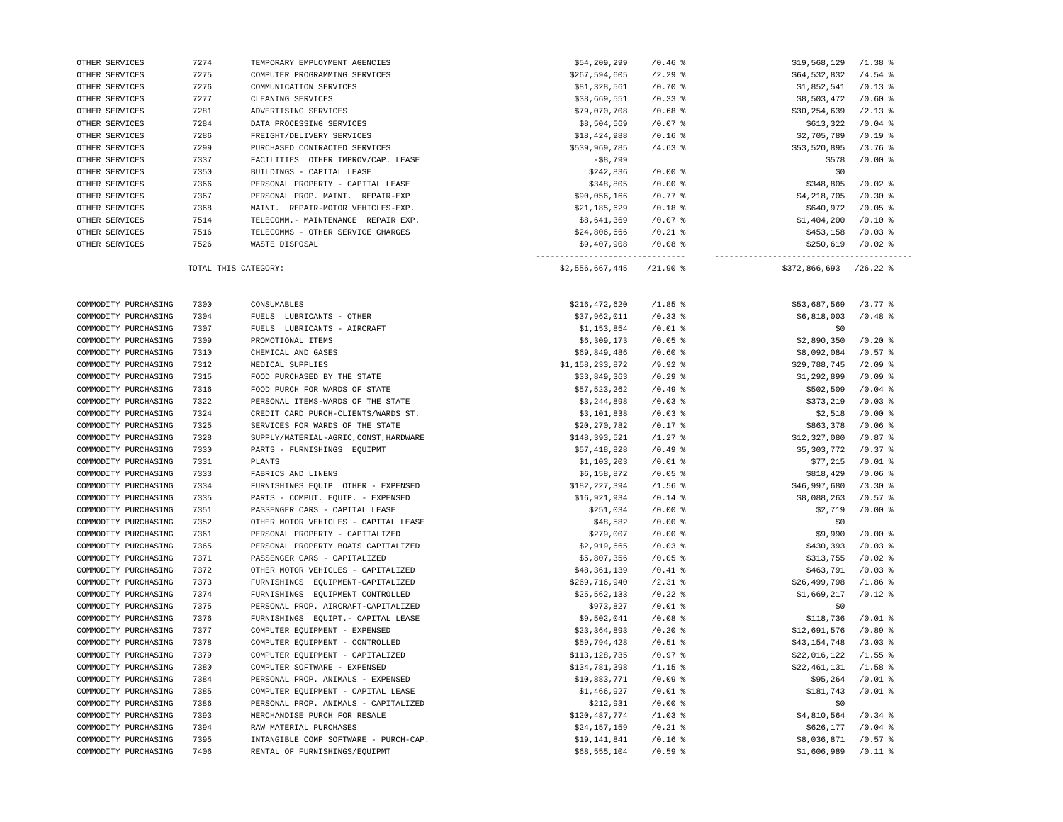| OTHER SERVICES       | 7366                 | PERSONAL PROPERTY - CAPITAL LEASE      | \$348,805                                       | $/0.00$ %  | \$348,805               | $/0.02$ %             |
|----------------------|----------------------|----------------------------------------|-------------------------------------------------|------------|-------------------------|-----------------------|
| OTHER SERVICES       | 7367                 | PERSONAL PROP. MAINT. REPAIR-EXP       | \$90,056,166                                    | $/0.77$ %  | \$4,218,705             | $/0.30$ %             |
| OTHER SERVICES       | 7368                 | MAINT. REPAIR-MOTOR VEHICLES-EXP.      | \$21,185,629                                    | $/0.18$ %  | \$640,972               | $/0.05$ %             |
| OTHER SERVICES       | 7514                 | TELECOMM. - MAINTENANCE REPAIR EXP.    | \$8,641,369                                     | $/0.07$ %  | \$1,404,200             | $/0.10$ %             |
| OTHER SERVICES       | 7516                 | TELECOMMS - OTHER SERVICE CHARGES      | \$24,806,666                                    | $/0.21$ %  | \$453,158               | $/0.03$ %             |
| OTHER SERVICES       | 7526                 | WASTE DISPOSAL                         | \$9,407,908<br>-------------------------------- | $/0.08$ %  | \$250,619               | $/0.02$ %             |
|                      | TOTAL THIS CATEGORY: |                                        | \$2,556,667,445                                 | $/21.90$ % | $$372,866,693$ /26.22 % |                       |
|                      |                      |                                        |                                                 |            |                         |                       |
| COMMODITY PURCHASING | 7300                 | CONSUMABLES                            | \$216,472,620                                   | $/1.85$ %  | \$53,687,569            | $/3.77$ $%$           |
| COMMODITY PURCHASING | 7304                 | FUELS LUBRICANTS - OTHER               | \$37,962,011                                    | $/0.33$ %  | \$6,818,003             | $/0.48$ %             |
| COMMODITY PURCHASING | 7307                 | FUELS LUBRICANTS - AIRCRAFT            | \$1,153,854                                     | $/0.01$ %  | \$0                     |                       |
| COMMODITY PURCHASING | 7309                 | PROMOTIONAL ITEMS                      | \$6,309,173                                     | $/0.05$ %  | \$2,890,350             | $/0.20$ %             |
| COMMODITY PURCHASING | 7310                 | CHEMICAL AND GASES                     | \$69,849,486                                    | $/0.60$ %  | \$8,092,084             | $/0.57$ %             |
| COMMODITY PURCHASING | 7312                 | MEDICAL SUPPLIES                       | \$1,158,233,872                                 | $/9.92$ %  | \$29,788,745            | $/2.09$ %             |
| COMMODITY PURCHASING | 7315                 | FOOD PURCHASED BY THE STATE            | \$33,849,363                                    | $/0.29$ %  | \$1,292,899             | /0.09%                |
| COMMODITY PURCHASING | 7316                 | FOOD PURCH FOR WARDS OF STATE          | \$57,523,262                                    | /0.49%     | \$502,509               | $/0.04$ %             |
| COMMODITY PURCHASING | 7322                 | PERSONAL ITEMS-WARDS OF THE STATE      | \$3,244,898                                     | $/0.03$ %  | \$373,219               | $/0.03$ %             |
| COMMODITY PURCHASING | 7324                 | CREDIT CARD PURCH-CLIENTS/WARDS ST.    | \$3,101,838                                     | $/0.03$ %  | \$2,518                 | $/0.00$ %             |
| COMMODITY PURCHASING | 7325                 | SERVICES FOR WARDS OF THE STATE        | \$20,270,782                                    | $/0.17$ %  | \$863,378               | $/0.06$ %             |
| COMMODITY PURCHASING | 7328                 | SUPPLY/MATERIAL-AGRIC, CONST, HARDWARE | \$148,393,521                                   | $/1.27$ %  | \$12,327,080            | $/0.87$ %             |
| COMMODITY PURCHASING | 7330                 | PARTS - FURNISHINGS EQUIPMT            | \$57,418,828                                    | /0.49%     | \$5,303,772             | $/0.37$ %             |
| COMMODITY PURCHASING | 7331                 | PLANTS                                 | \$1,103,203                                     | $/0.01$ %  | \$77,215                | $/0.01$ %             |
| COMMODITY PURCHASING | 7333                 | FABRICS AND LINENS                     | \$6,158,872                                     | $/0.05$ %  | \$818,429               | $/0.06$ %             |
| COMMODITY PURCHASING | 7334                 | FURNISHINGS EQUIP OTHER - EXPENSED     | \$182,227,394                                   | $/1.56$ %  | \$46,997,680            | /3.30%                |
| COMMODITY PURCHASING | 7335                 | PARTS - COMPUT. EQUIP. - EXPENSED      | \$16,921,934                                    | $/0.14$ %  | \$8,088,263             | $/0.57$ $\frac{8}{3}$ |
| COMMODITY PURCHASING | 7351                 | PASSENGER CARS - CAPITAL LEASE         | \$251,034                                       | $/0.00$ %  | \$2,719                 | $/0.00$ %             |
| COMMODITY PURCHASING | 7352                 | OTHER MOTOR VEHICLES - CAPITAL LEASE   | \$48,582                                        | $/0.00$ %  | \$0                     |                       |
| COMMODITY PURCHASING | 7361                 | PERSONAL PROPERTY - CAPITALIZED        | \$279,007                                       | $/0.00$ %  | \$9,990                 | $/0.00$ %             |
| COMMODITY PURCHASING | 7365                 | PERSONAL PROPERTY BOATS CAPITALIZED    | \$2,919,665                                     | $/0.03$ %  | \$430,393               | $/0.03$ %             |
| COMMODITY PURCHASING | 7371                 | PASSENGER CARS - CAPITALIZED           | \$5,807,356                                     | $/0.05$ %  | \$313,755               | $/0.02$ %             |
| COMMODITY PURCHASING | 7372                 | OTHER MOTOR VEHICLES - CAPITALIZED     | \$48,361,139                                    | $/0.41$ %  | \$463,791               | $/0.03$ %             |
| COMMODITY PURCHASING | 7373                 | EQUIPMENT-CAPITALIZED<br>FURNISHINGS   | \$269,716,940                                   | $/2.31$ %  | \$26,499,798            | $/1.86$ %             |
| COMMODITY PURCHASING | 7374                 | FURNISHINGS<br>EQUIPMENT CONTROLLED    | \$25,562,133                                    | $/0.22$ %  | \$1,669,217             | $/0.12$ %             |
| COMMODITY PURCHASING | 7375                 | PERSONAL PROP. AIRCRAFT-CAPITALIZED    | \$973,827                                       | $/0.01$ %  | \$0                     |                       |
| COMMODITY PURCHASING | 7376                 | FURNISHINGS EQUIPT. - CAPITAL LEASE    | \$9,502,041                                     | $/0.08$ %  | \$118,736               | $/0.01$ %             |
| COMMODITY PURCHASING | 7377                 | COMPUTER EQUIPMENT - EXPENSED          | \$23,364,893                                    | $/0.20$ %  | \$12,691,576            | $/0.89$ %             |
| COMMODITY PURCHASING | 7378                 | COMPUTER EQUIPMENT - CONTROLLED        | \$59,794,428                                    | $/0.51$ %  | \$43,154,748            | $/3.03$ $%$           |
| COMMODITY PURCHASING | 7379                 | COMPUTER EQUIPMENT - CAPITALIZED       | \$113,128,735                                   | $/0.97$ %  | \$22,016,122            | $/1.55$ %             |
| COMMODITY PURCHASING | 7380                 | COMPUTER SOFTWARE - EXPENSED           | \$134,781,398                                   | $/1.15$ %  | \$22,461,131            | $/1.58$ %             |
| COMMODITY PURCHASING | 7384                 | PERSONAL PROP. ANIMALS - EXPENSED      | \$10,883,771                                    | $/0.09$ %  | \$95,264                | $/0.01$ %             |
| COMMODITY PURCHASING | 7385                 | COMPUTER EQUIPMENT - CAPITAL LEASE     | \$1,466,927                                     | $/0.01$ %  | \$181,743               | $/0.01$ %             |
| COMMODITY PURCHASING | 7386                 | PERSONAL PROP. ANIMALS - CAPITALIZED   | \$212,931                                       | $/0.00$ %  | \$0                     |                       |
| COMMODITY PURCHASING | 7393                 | MERCHANDISE PURCH FOR RESALE           | \$120,487,774                                   | $/1.03$ %  | \$4,810,564             | $/0.34$ %             |
| COMMODITY PURCHASING | 7394                 | RAW MATERIAL PURCHASES                 | \$24,157,159                                    | $/0.21$ %  | \$626,177               | $/0.04$ %             |
| COMMODITY PURCHASING | 7395                 | INTANGIBLE COMP SOFTWARE - PURCH-CAP.  | \$19,141,841                                    | $/0.16$ %  | \$8,036,871             | $/0.57$ %             |
| COMMODITY PURCHASING | 7406                 | RENTAL OF FURNISHINGS/EQUIPMT          | \$68,555,104                                    | /0.59%     | \$1,606,989             | $/0.11$ %             |
|                      |                      |                                        |                                                 |            |                         |                       |

 OTHER SERVICES 7274 TEMPORARY EMPLOYMENT AGENCIES \$54,209,299 /0.46 % \$19,568,129 /1.38 % OTHER SERVICES 7275 COMPUTER PROGRAMMING SERVICES \$267,594,605 /2.29 % \$64,532,832 /4.54 % OTHER SERVICES 7276 COMMUNICATION SERVICES \$81,328,561 /0.70 % \$1,852,541 /0.13 % OTHER SERVICES 7277 CLEANING SERVICES **\$28,669,551 /0.33** \$69,551 /0.33 \$\$8,603,472 /0.60 \$ OTHER SERVICES 7281 ADVERTISING SERVICES \$79,070,708 /0.68 \$679,070,708 /0.68 \$530,254,639 /2.13 \$ OTHER SERVICES 7284 DATA PROCESSING SERVICES \$8,504,569 /0.07 % \$613,322 /0.04 % OTHER SERVICES 7286 FREIGHT/DELIVERY SERVICES \$18,424,988 /0.16 % \$18,424,988 /0.16 % \$2,705,789 /0.19 % OTHER SERVICES 7299 PURCHASED CONTRACTED SERVICES \$539,969,785 /4.63 % \$539,969,785 /3.76 % \$53,520,895 /3.76 OTHER SERVICES 7337 FACILITIES OTHER IMPROV/CAP. LEASE - \$8,799 - \$8,799 \$578 /0.00 % 5578 /0.00 % OTHER SERVICES 7350 BUILDINGS - CAPITAL LEASE \$242,836 /0.00 % \$242,836 /0.00 % \$0